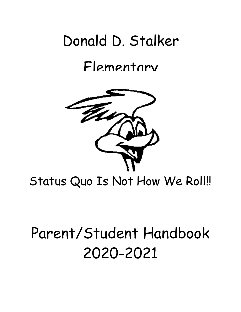# Donald D. Stalker

# Elementary



Status Quo Is Not How We Roll!!

# Parent/Student Handbook 2020-2021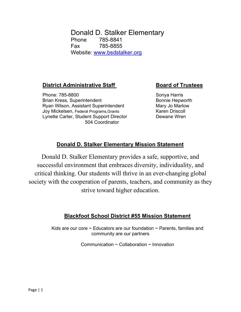Donald D. Stalker Elementary Phone 785-8841 Fax 785-8855 Website: www.bsdstalker.org

## **District Administrative Staff Board of Trustees**

Phone: 785-8800 Sonya Harris Brian Kress, Superintendent Bonnie Hepworth Ryan Wilson, Assistant Superintendent Mary Jo Marlow Joy Mickelsen, Federal Programs, Grants Karen Driscoll Lynette Carter, Student Support Director **Digest Dewane Wren** 504 Coordinator

## **Donald D. Stalker Elementary Mission Statement**

Donald D. Stalker Elementary provides a safe, supportive, and successful environment that embraces diversity, individuality, and critical thinking. Our students will thrive in an ever-changing global society with the cooperation of parents, teachers, and community as they strive toward higher education.

## **Blackfoot School District #55 Mission Statement**

Kids are our core  $\sim$  Educators are our foundation  $\sim$  Parents, families and community are our partners

Communication ~ Collaboration ~ Innovation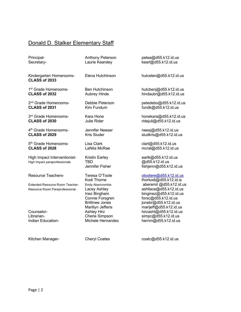# Donald D. Stalker Elementary Staff

| Principal-                                                         | Anthony Peterson                                                                               | petea@d55.k12.id.us                                                                                                        |
|--------------------------------------------------------------------|------------------------------------------------------------------------------------------------|----------------------------------------------------------------------------------------------------------------------------|
| Secretary-                                                         | Laurie Kearsley                                                                                | kearl@d55.k12.id.us                                                                                                        |
| Kindergarten Homerooms-<br><b>CLASS of 2033</b>                    | Elena Hutchinson                                                                               | hutcelen@d55.k12.id.us                                                                                                     |
| 1 <sup>st</sup> Grade Homerooms-                                   | <b>Ben Hutchinson</b>                                                                          | hutcbenj@d55.k12.id.us                                                                                                     |
| CLASS of 2032                                                      | <b>Aubrey Hinde</b>                                                                            | hindaubr@d55.k12.id.us                                                                                                     |
| 2 <sup>nd</sup> Grade Homerooms-                                   | Debbie Peterson                                                                                | petedebo@d55.k12.id.us                                                                                                     |
| CLASS of 2031                                                      | Kim Fundum                                                                                     | fundk@d55.k12.id.us                                                                                                        |
| 3rd Grade Homerooms-                                               | Kara Hone                                                                                      | honekara@d55.k12.id.us                                                                                                     |
| <b>CLASS of 2030</b>                                               | <b>Julie Rider</b>                                                                             | ridejuli@d55.k12.id.us                                                                                                     |
| 4 <sup>th</sup> Grade Homerooms-                                   | Jennifer Neeser                                                                                | neesj@d55.k12.id.us                                                                                                        |
| CLASS of 2029                                                      | <b>Kris Sluder</b>                                                                             | sludkris@d55.k12.id.us                                                                                                     |
| 5 <sup>th</sup> Grade Homerooms-                                   | Lisa Clark                                                                                     | $clar\omega 455.k12.id.us$                                                                                                 |
| <b>CLASS of 2028</b>                                               | LaNita McRae                                                                                   | mcral@d55.k12.id.us                                                                                                        |
| High Impact Interventionist-<br>High Impact paraprofessionals      | <b>Kristin Earley</b><br>TRD<br>Jennifer Fisher                                                | earlk@d55.k12.id.us<br>@d55.k12.id.us<br>fishjenn@d55.k12.id.us                                                            |
| Resource Teachers-                                                 | Teresa O'Toole<br>Kodi Thorne                                                                  | otootere@d55.k12.id.us<br>thorkodi@d55.k12.id.is                                                                           |
| Extended Resource Room Teacher-<br>Resource Room Paraprofessional- | Emily Abercrombie<br>Lacey Ashley<br>Inez Bingham<br>Connie Forsgren<br><b>Brittinee Jones</b> | aberemil @d55.k12.id.us<br>ashllace@d55.k12.id.us<br>binginez@d55.k12.id.us<br>forsc@d55.k12.id.us<br>jonebr@d55.k12.id.us |
| Counselor-<br>Librarian-<br>Indian Education-                      | Marlilyn Jefferis<br><b>Ashley Hirz</b><br><b>Cherie Simpson</b><br>Michele Hernandez          | marijeff@d55.k12.id.us<br>hirzashl@d55.k12.id.us<br>simpc@d55.k12.id.us<br>hernm@d55.k12.id.us                             |

Kitchen Manager- Cheryl Coates coatc@d55.k12.id.us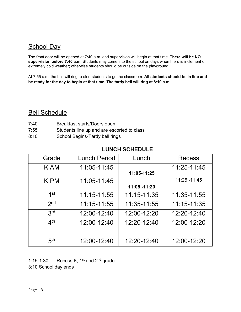# School Day

The front door will be opened at 7:40 a.m. and supervision will begin at that time. **There will be NO supervision before 7:40 a.m.** Students may come into the school on days when there is inclement or extremely cold weather; otherwise students should be outside on the playground.

At 7:55 a.m. the bell will ring to alert students to go the classroom. **All students should be in line and be ready for the day to begin at that time. The tardy bell will ring at 8:10 a.m.**

## Bell Schedule

- 7:40 Breakfast starts/Doors open
- 7:55 Students line up and are escorted to class
- 8:10 School Begins-Tardy bell rings

## **LUNCH SCHEDULE**

| Grade           | <b>Lunch Period</b> | Lunch        | <b>Recess</b> |
|-----------------|---------------------|--------------|---------------|
| K AM            | 11:05-11:45         | 11:05-11:25  | 11:25-11:45   |
| K PM            | 11:05-11:45         | 11:05 -11:20 | 11:25 - 11:45 |
| 1st             | 11:15-11:55         | 11:15-11:35  | 11:35-11:55   |
| 2 <sub>nd</sub> | 11:15-11:55         | 11:35-11:55  | 11:15-11:35   |
| 3rd             | 12:00-12:40         | 12:00-12:20  | 12:20-12:40   |
| 4 <sup>th</sup> | 12:00-12:40         | 12:20-12:40  | 12:00-12:20   |
| 5 <sup>th</sup> | 12:00-12:40         | 12:20-12:40  | 12:00-12:20   |

## 1:15-1:30 Recess K,  $1<sup>st</sup>$  and  $2<sup>nd</sup>$  grade

3:10 School day ends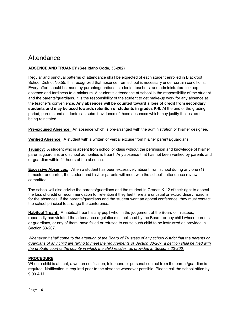# Attendance

### **ABSENCE AND TRUANCY (See Idaho Code, 33-202)**

Regular and punctual patterns of attendance shall be expected of each student enrolled in Blackfoot School District No.55. It is recognized that absence from school is necessary under certain conditions. Every effort should be made by parents/guardians, students, teachers, and administrators to keep absence and tardiness to a minimum. A student's attendance at school is the responsibility of the student and the parents/guardians. It is the responsibility of the student to get make-up work for any absence at the teacher's convenience. **Any absences will be counted toward a loss of credit from secondary students and may be used towards retention of students in grades K-6.** At the end of the grading period, parents and students can submit evidence of those absences which may justify the lost credit being reinstated.

**Pre-excused Absence**: An absence which is pre-arranged with the administration or his/her designee.

**Verified Absence**: A student with a written or verbal excuse from his/her parents/guardians.

**Truancy:** A student who is absent from school or class without the permission and knowledge of his/her parents/guardians and school authorities is truant. Any absence that has not been verified by parents and or guardian within 24 hours of the absence.

**Excessive Absences:** When a student has been excessively absent from school during any one (1) trimester or quarter, the student and his/her parents will meet with the school's attendance review committee.

The school will also advise the parents/guardians and the student in Grades K-12 of their right to appeal the loss of credit or recommendation for retention if they feel there are unusual or extraordinary reasons for the absences. If the parents/guardians and the student want an appeal conference, they must contact the school principal to arrange the conference.

**Habitual Truant:** A habitual truant is any pupil who, in the judgement of the Board of Trustees, repeatedly has violated the attendance regulations established by the Board; or any child whose parents or guardians, or any of them, have failed or refused to cause such child to be instructed as provided in Section 33-207.

*Whenever it shall come to the attention of the Board of Trustees of any school district that the parents or guardians of any child are failing to meet the requirements of Section 33-207, a petition shall be filed with the probate court of the county in which the child resides, as provided in Sections 33-206.*

#### **PROCEDURE**

When a child is absent, a written notification, telephone or personal contact from the parent/guardian is required. Notification is required prior to the absence whenever possible. Please call the school office by 9:00 A.M.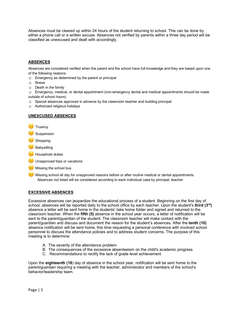Absences must be cleared up within 24 hours of the student returning to school. This can be done by either a phone call or a written excuse. Absences not verified by parents within a three day period will be classified as unexcused and dealt with accordingly.

### **ABSENCES**

Absences are considered verified when the parent and the school have full knowledge and they are based upon one of the following reasons:

- ☺ Emergency as determined by the parent or principal
- ☺ Illness
- ☺ Death in the family

☺ Emergency, medical, or dental appointment (non-emergency dental and medical appointments should be made outside of school hours)

- ☺ Special absences approved in advance by the classroom teacher and building principal
- ☺ Authorized religious holidays

#### **UNEXCUSED ABSENCES**

**Truancy** 

- **Suspension**
- **Shopping**
- **Babysitting**
- **i** Household duties
- $\ddot{\bullet}$  Unapproved trips or vacations
- $\ddot{\bullet}$  Missing the school bus
- $\heartsuit$  Missing school all day for unapproved reasons before or after routine medical or dental appointments. Absences not listed will be considered according to each individual case by principal, teacher.

#### **EXCESSIVE ABSENCES**

Excessive absences can jeopardize the educational process of a student. Beginning on the first day of school, absences will be reported daily to the school office by each teacher. Upon the student's **third (3rd)** absence a letter will be sent home in the students' take home folder and signed and returned to the classroom teacher. When the **fifth (5)** absence in the school year occurs, a letter of notification will be sent to the parent/guardian of the student. The classroom teacher will make contact with the parent/guardian and discuss and document the reason for the student's absences. After the **tenth (10)** absence notification will be sent home, this time requesting a personal conference with involved school personnel to discuss the attendance policies and to address student concerns. The purpose of this meeting is to determine:

- A. The severity of the attendance problem
- B. The consequences of the excessive absenteeism on the child's academic progress
- C. Recommendations to rectify the lack of grade level achievement

Upon the **eighteenth (18**) day of absence in the school year, notification will be sent home to the parent/guardian requiring a meeting with the teacher, administrator and members of the school's behavior/leadership team.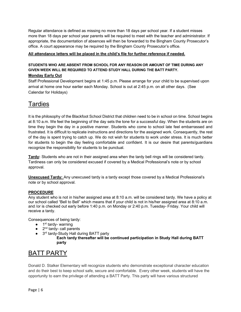Regular attendance is defined as missing no more than 18 days per school year. If a student misses more than 18 days per school year parents will be required to meet with the teacher and administrator. If appropriate, the documentation of absences will then be forwarded to the Bingham County Prosecutor's office. A court appearance may be required by the Bingham County Prosecutor's office.

### **All attendance letters will be placed in the child's file for further reference if needed.**

## **STUDENTS WHO ARE ABSENT FROM SCHOOL FOR ANY REASON OR AMOUNT OF TIME DURING ANY GIVEN WEEK WILL BE REQUIRED TO ATTEND STUDY HALL DURING THE BATT PARTY.**

### **Monday Early Out**

Staff Professional Development begins at 1:45 p.m. Please arrange for your child to be supervised upon arrival at home one hour earlier each Monday. School is out at 2:45 p.m. on all other days. (See Calendar for Holidays)

# **Tardies**

It is the philosophy of the Blackfoot School District that children need to be in school on time. School begins at 8:10 a.m. We feel the beginning of the day sets the tone for a successful day. When the students are on time they begin the day in a positive manner. Students who come to school late feel embarrassed and frustrated. It is difficult to replicate instructions and directions for the assigned work. Consequently, the rest of the day is spent trying to catch up. We do not wish for students to work under stress. It is much better for students to begin the day feeling comfortable and confident. It is our desire that parents/guardians recognize the responsibility for students to be punctual.

**Tardy:** Students who are not in their assigned area when the tardy bell rings will be considered tardy. Tardiness can only be considered excused if covered by a Medical Professional's note or by school approval.

**Unexcused Tardy:** Any unexcused tardy is a tardy except those covered by a Medical Professional's note or by school approval.

#### **PROCEDURE**

Any student who is not in his/her assigned area at 8:10 a.m. will be considered tardy. We have a policy at our school called "Bell to Bell" which means that if your child is not in his/her assigned area at 8:10 a.m. and /or is checked out early before 1:40 p.m. on Monday or 2:40 p.m. Tuesday- Friday. Your child will receive a tardy.

Consequences of being tardy:

- $\bullet$  1<sup>st</sup> tardy- warning
- $\bullet$  2<sup>nd</sup> tardy- call parents
- 3<sup>rd</sup> tardy-Study Hall during BATT party

 **Each tardy thereafter will be continued participation in Study Hall during BATT party**

# BATT PARTY

Donald D. Stalker Elementary will recognize students who demonstrate exceptional character education and do their best to keep school safe, secure and comfortable. Every other week, students will have the opportunity to earn the privilege of attending a BATT Party. This party will have various structured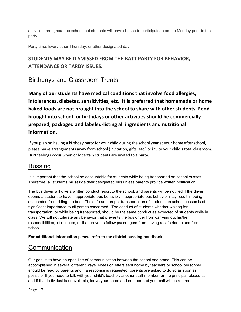activities throughout the school that students will have chosen to participate in on the Monday prior to the party.

Party time: Every other Thursday, or other designated day.

# **STUDENTS MAY BE DISMISSED FROM THE BATT PARTY FOR BEHAVIOR, ATTENDANCE OR TARDY ISSUES.**

# Birthdays and Classroom Treats

**Many of our students have medical conditions that involve food allergies, intolerances, diabetes, sensitivities, etc. It is preferred that homemade or home baked foods are not brought into the school to share with other students. Food brought into school for birthdays or other activities should be commercially prepared, packaged and labeled-listing all ingredients and nutritional information.** 

If you plan on having a birthday party for your child during the school year at your home after school, please make arrangements away from school (invitation, gifts, etc.) or invite your child's total classroom. Hurt feelings occur when only certain students are invited to a party.

# Bussing

It is important that the school be accountable for students while being transported on school busses. Therefore, all students **must** ride their designated bus unless parents provide written notification.

The bus driver will give a written conduct report to the school, and parents will be notified if the driver deems a student to have inappropriate bus behavior. Inappropriate bus behavior may result in being suspended from riding the bus. The safe and proper transportation of students on school busses is of significant importance to all parties concerned. The conduct of students whether waiting for transportation, or while being transported, should be the same conduct as expected of students while in class. We will not tolerate any behavior that prevents the bus driver from carrying out his/her responsibilities, intimidates, or that prevents fellow passengers from having a safe ride to and from school.

**For additional information please refer to the district bussing handbook.** 

# **Communication**

Our goal is to have an open line of communication between the school and home. This can be accomplished in several different ways. Notes or letters sent home by teachers or school personnel should be read by parents and if a response is requested, parents are asked to do so as soon as possible. If you need to talk with your child's teacher, another staff member, or the principal, please call and if that individual is unavailable, leave your name and number and your call will be returned.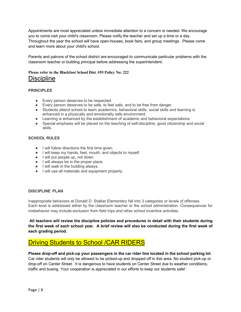Appointments are most appreciated unless immediate attention to a concern is needed. We encourage you to come visit your child's classroom. Please notify the teacher and set up a time or a day. Throughout the year the school will have open-houses, book fairs, and group meetings. Please come and learn more about your child's school.

Parents and patrons of the school district are encouraged to communicate particular problems with the classroom teacher or building principal before addressing the superintendent.

## **Please refer to the Blackfoot School Dist. #55 Policy No: 222 Discipline**

### **PRINCIPLES**

- Every person deserves to be respected.
- Every person deserves to be safe, to feel safe, and to be free from danger.
- Students attend school to learn academics, behavioral skills, social skills and learning is enhanced in a physically and emotionally safe environment.
- Learning is enhanced by the establishment of academic and behavioral expectations.
- Special emphasis will be placed on the teaching of self-discipline, good citizenship and social skills.

#### **SCHOOL RULES**

- I will follow directions the first time given.
- I will keep my hands, feet, mouth, and objects to myself.
- I will put people up, not down.
- I will always be in the proper place.
- I will walk in the building always.
- I will use all materials and equipment properly.

#### **DISCIPLINE PLAN**

Inappropriate behaviors at Donald D. Stalker Elementary fall into 3 categories or levels of offenses. Each level is addressed either by the classroom teacher or the school administration. Consequences for misbehavior may include exclusion from field trips and other school incentive activities.

**All teachers will review the discipline policies and procedures in detail with their students during the first week of each school year. A brief review will also be conducted during the first week of each grading period.**

# Driving Students to School /CAR RIDERS

**Please drop-off and pick-up your passengers in the car rider line located in the school parking lot**. Car rider students will only be allowed to be picked-up and dropped off in this area. No student pick-up or drop-off on Center Street. It is dangerous to have students on Center Street due to weather conditions, traffic and busing. Your cooperation is appreciated in our efforts to keep our students safe!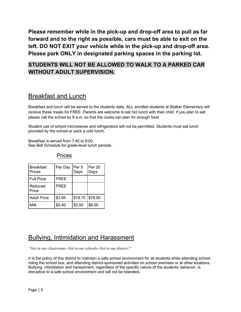**Please remember while in the pick-up and drop-off area to pull as far forward and to the right as possible, cars must be able to exit on the left. DO NOT EXIT your vehicle while in the pick-up and drop-off area. Please park ONLY in designated parking spaces in the parking lot.** 

## **STUDENTS WILL NOT BE ALLOWED TO WALK TO A PARKED CAR WITHOUT ADULT SUPERVISION.**

# Breakfast and Lunch

Breakfast and lunch will be served to the students daily. ALL enrolled students at Stalker Elementary will receive these meals for FREE. Parents are welcome to eat hot lunch with their child. If you plan to eat, please call the school by 9 a.m. so that the cooks can plan for enough food.

Student use of school microwaves and refrigerators will not be permitted. Students must eat lunch provided by the school or pack a cold lunch.

Breakfast is served from 7:40 to 8:00. See Bell Schedule for grade-level lunch periods.

| Breakfast<br>Prices | Per Day     | Per 5<br>Days | Per 20<br>Days |
|---------------------|-------------|---------------|----------------|
| <b>Full Price</b>   | <b>FREE</b> |               |                |
| Reduced<br>Price    | <b>FREE</b> |               |                |
| <b>Adult Price</b>  | \$3.95      | \$19.75       | \$79.00        |
| Milk                | \$0.40      | \$2.00        | \$8.00         |

## Prices

# Bullying, Intimidation and Harassment

*"Not in our classrooms--Not in our schools--Not in our district!"* 

It is the policy of this district to maintain a safe school environment for all students while attending school, riding the school bus, and attending district-sponsored activities on school premises or at other locations. Bullying, intimidation and harassment, regardless of the specific nature of the students' behavior, is disruptive to a safe school environment and will not be tolerated.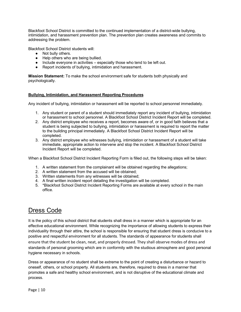Blackfoot School District is committed to the continued implementation of a district-wide bullying, intimidation, and harassment prevention plan. The prevention plan creates awareness and commits to addressing the problem.

Blackfoot School District students will:

- Not bully others.
- Help others who are being bullied.
- Include everyone in activities especially those who tend to be left out.
- Report incidents of bullying, intimidation and harassment.

**Mission Statement:** To make the school environment safe for students both physically and psychologically.

#### **Bullying, Intimidation, and Harassment Reporting Procedures**

Any incident of bullying, intimidation or harassment will be reported to school personnel immediately.

- 1. Any student or parent of a student should immediately report any incident of bullying, intimidation or harassment to school personnel. A Blackfoot School District Incident Report will be completed.
- 2. Any district employee who receives a report, becomes aware of, or in good faith believes that a student is being subjected to bullying, intimidation or harassment is required to report the matter to the building principal immediately. A Blackfoot School District Incident Report will be completed.
- 3. Any district employee who witnesses bullying, intimidation or harassment of a student will take immediate, appropriate action to intervene and stop the incident. A Blackfoot School District Incident Report will be completed.

When a Blackfoot School District Incident Reporting Form is filled out, the following steps will be taken:

- 1. A written statement from the complainant will be obtained regarding the allegations;
- 2. A written statement from the accused will be obtained;
- 3. Written statements from any witnesses will be obtained;
- 4. A final written incident report detailing the investigation will be completed.
- 5. \*Blackfoot School District Incident Reporting Forms are available at every school in the main office.

# Dress Code

It is the policy of this school district that students shall dress in a manner which is appropriate for an effective educational environment. While recognizing the importance of allowing students to express their individuality through their attire, the school is responsible for ensuring that student dress is conducive to a positive and respectful environment for all students. The standards of appearance for students shall ensure that the student be clean, neat, and properly dressed. They shall observe modes of dress and standards of personal grooming which are in conformity with the studious atmosphere and good personal hygiene necessary in schools.

Dress or appearance of no student shall be extreme to the point of creating a disturbance or hazard to oneself, others, or school property. All students are, therefore, required to dress in a manner that promotes a safe and healthy school environment, and is not disruptive of the educational climate and process.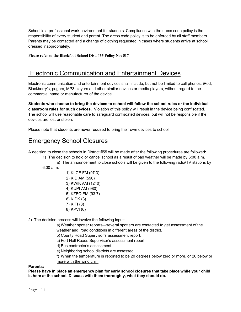School is a professional work environment for students. Compliance with the dress code policy is the responsibility of every student and parent. The dress code policy is to be enforced by all staff members. Parents may be contacted and a change of clothing requested in cases where students arrive at school dressed inappropriately.

**Please refer to the Blackfoot School Dist. #55 Policy No: 517**

# Electronic Communication and Entertainment Devices

Electronic communication and entertainment devices shall include, but not be limited to cell phones, iPod, Blackberry's, pagers, MP3 players and other similar devices or media players, without regard to the commercial name or manufacturer of the device.

**Students who choose to bring the devices to school will follow the school rules or the individual classroom rules for such devices.** Violation of this policy will result in the device being confiscated. The school will use reasonable care to safeguard confiscated devices, but will not be responsible if the devices are lost or stolen.

Please note that students are never required to bring their own devices to school.

# Emergency School Closures

A decision to close the schools in District #55 will be made after the following procedures are followed:

1) The decision to hold or cancel school as a result of bad weather will be made by 6:00 a.m.

- a) The announcement to close schools will be given to the following radio/TV stations by 6:00 a.m.
	- 1) KLCE FM (97.3) 2) KID AM (590) 3) KWIK AM (1240) 4) KUPI AM (980) 5) KZBQ FM (93.7) 6) KIDK (3) 7) KIFI (8) 8) KPVI (6)
- 2) The decision process will involve the following input:

a) Weather spotter reports—several spotters are contacted to get assessment of the weather and road conditions in different areas of the district.

- b) County Road Supervisor's assessment report.
- c) Fort Hall Roads Supervisor's assessment report.

d) Bus contractor's assessment.

e) Neighboring school districts are assessed.

f) When the temperature is reported to be 20 degrees below zero or more, or 20 below or more with the wind chill.

#### **Parents:**

**Please have in place an emergency plan for early school closures that take place while your child is here at the school. Discuss with them thoroughly, what they should do.**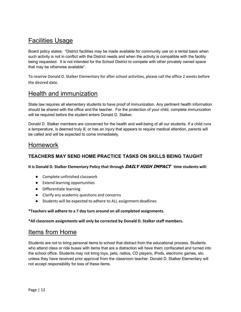# Facilities Usage

Board policy states: "District facilities may be made available for community use on a rental basis when such activity is not in conflict with the District needs and when the activity is compatible with the facility being requested. It is not intended for the School District to compete with other privately owned space that may be otherwise available".

To reserve Donald D. Stalker Elementary for after school activities, please call the office 2 weeks before the desired date.

# Health and immunization

State law requires all elementary students to have proof of immunization. Any pertinent health information should be shared with the office and the teacher. For the protection of your child, complete immunization will be required before the student enters Donald D. Stalker.

Donald D. Stalker members are concerned for the health and well-being of all our students. If a child runs a temperature, is deemed truly ill, or has an injury that appears to require medical attention, parents will be called and will be expected to come immediately.

## Homework

## **TEACHERS MAY SEND HOME PRACTICE TASKS ON SKILLS BEING TAUGHT**

**It is Donald D. Stalker Elementary Policy that through DAILY HIGH IMPACT time students will:**

- Complete unfinished classwork
- Extend learning opportunities
- Differentiate learning
- Clarify any academic questions and concerns
- Students will be expected to adhere to ALL assignment deadlines

#### **\*Teachers will adhere to a 7 day turn around on all completed assignments.**

#### **\*All classroom assignments will only be corrected by Donald D. Stalker staff members.**

## Items from Home

Students are not to bring personal items to school that distract from the educational process. Students who attend class or ride buses with items that are a distraction will have them confiscated and turned into the school office. Students may not bring toys, pets, radios, CD players, iPods, electronic games, etc. unless they have received prior approval from the classroom teacher. Donald D. Stalker Elementary will not accept responsibility for loss of these items.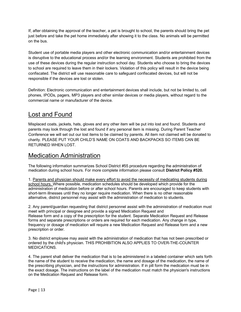If, after obtaining the approval of the teacher, a pet is brought to school, the parents should bring the pet just before and take the pet home immediately after showing it to the class. No animals will be permitted on the bus.

Student use of portable media players and other electronic communication and/or entertainment devices is disruptive to the educational process and/or the learning environment. Students are prohibited from the use of these devices during the regular instruction school day. Students who choose to bring the devices to school are required to leave them in their lockers. Violation of this policy will result in the device being confiscated. The district will use reasonable care to safeguard confiscated devices, but will not be responsible if the devices are lost or stolen.

Definition: Electronic communication and entertainment devices shall include, but not be limited to, cell phones, IPODs, pagers, MP3 players and other similar devices or media players, without regard to the commercial name or manufacturer of the device.

# Lost and Found

Misplaced coats, jackets, hats, gloves and any other item will be put into lost and found. Students and parents may look through the lost and found if any personal item is missing. During Parent Teacher Conference we will set out our lost items to be claimed by parents. All item not claimed will be donated to charity. PLEASE PUT YOUR CHILD'S NAME ON COATS AND BACKPACKS SO ITEMS CAN BE RETURNED WHEN LOST.

# Medication Administration

The following information summarizes School District #55 procedure regarding the administration of medication during school hours. For more complete information please consult **District Policy #520.**

1. Parents and physician should make every effort to avoid the necessity of medicating students during school hours. Where possible, medication schedules should be developed which provide for the administration of medication before or after school hours. Parents are encouraged to keep students with short-term illnesses until they no longer require medication. When there is no other reasonable alternative, district personnel may assist with the administration of medication to students.

2. Any parent/guardian requesting that district personnel assist with the administration of medication must meet with principal or designee and provide a signed Medication Request and Release form and a copy of the prescription for the student. Separate Medication Request and Release forms and separate prescriptions or orders are required for each medication. Any change in type, frequency or dosage of medication will require a new Medication Request and Release form and a new prescription or order.

3. No district employee may assist with the administration of medication that has not been prescribed or ordered by the child's physician. THIS PROHIBITION ALSO APPLIES TO OVER-THE-COUNTER MEDICATIONS.

4. The parent shall deliver the medication that is to be administered in a labeled container which sets forth the name of the student to receive the medication, the name and dosage of the medication, the name of the prescribing physician, and the instructions for administration. If in pill form the medication must be in the exact dosage. The instructions on the label of the medication must match the physician's instructions on the Medication Request and Release form.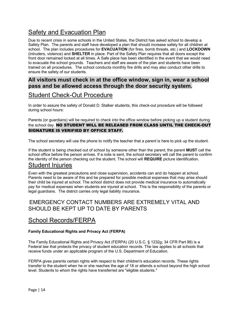# Safety and Evacuation Plan

Due to recent crisis in some schools in the United States, the District has asked school to develop a Safety Plan. The parents and staff have developed a plan that should increase safety for all children at school. The plan includes procedures for **EVACUATION** (for fires, bomb threats, etc.) and **LOCKDOWN** (intruders, violence) and **SHELTER** in place. Part of the Safety Plan requires that all doors except the front door remained locked at all times. A Safe place has been identified in the event that we would need to evacuate the school grounds. Teachers and staff are aware of the plan and students have been trained on all procedures. The school conducts monthly fire drills and may also conduct other drills to ensure the safety of our students.

## **All visitors must check in at the office window, sign in, wear a school pass and be allowed access through the door security system.**

# Student Check-Out Procedure

In order to assure the safety of Donald D. Stalker students, this check-out procedure will be followed during school hours:

Parents (or guardians) will be required to check into the office window before picking up a student during the school day. NO STUDENT WILL BE RELEASED FROM CLASS UNTIL THE CHECK-OUT SIGNATURE IS VERIFIED BY OFFICE STAFF.

The school secretary will use the phone to notify the teacher that a parent is here to pick up the student.

If the student is being checked out of school by someone other than the parent, the parent **MUST** call the school office before the person arrives. If a note is sent, the school secretary will call the parent to confirm the identity of the person checking out the student. The school will **REQUIRE** picture identification.

# Student Injuries

Even with the greatest precautions and close supervision, accidents can and do happen at school. Parents need to be aware of this and be prepared for possible medical expenses that may arise should their child be injured at school. The school district does not provide medical insurance to automatically pay for medical expenses when students are injured at school. This is the responsibility of the parents or legal guardians. The district carries only legal liability insurance.

## EMERGENCY CONTACT NUMBERS ARE EXTREMELY VITAL AND SHOULD BE KEPT UP TO DATE BY PARENTS

# School Records/FERPA

## **Family Educational Rights and Privacy Act (FERPA)**

The Family Educational Rights and Privacy Act (FERPA) (20 U.S.C. § 1232g; 34 CFR Part 99) is a Federal law that protects the privacy of student education records. The law applies to all schools that receive funds under an applicable program of the U.S. Department of Education.

FERPA gives parents certain rights with respect to their children's education records. These rights transfer to the student when he or she reaches the age of 18 or attends a school beyond the high school level. Students to whom the rights have transferred are "eligible students."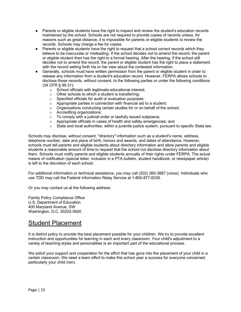- Parents or eligible students have the right to inspect and review the student's education records maintained by the school. Schools are not required to provide copies of records unless, for reasons such as great distance, it is impossible for parents or eligible students to review the records. Schools may charge a fee for copies.
- Parents or eligible students have the right to request that a school correct records which they believe to be inaccurate or misleading. If the school decides not to amend the record, the parent or eligible student then has the right to a formal hearing. After the hearing, if the school still decides not to amend the record, the parent or eligible student has the right to place a statement with the record setting forth his or her view about the contested information.
- Generally, schools must have written permission from the parent or eligible student in order to release any information from a student's education record. However, FERPA allows schools to disclose those records, without consent, to the following parties or under the following conditions (34 CFR § 99.31):
	- o School officials with legitimate educational interest;
	- o Other schools to which a student is transferring;
	- o Specified officials for audit or evaluation purposes;
	- $\circ$  Appropriate parties in connection with financial aid to a student;
	- o Organizations conducting certain studies for or on behalf of the school;<br>
	o Accrediting organizations;
	- Accrediting organizations;
	- o To comply with a judicial order or lawfully issued subpoena;
	- o Appropriate officials in cases of health and safety emergencies; and
	- $\circ$  State and local authorities, within a juvenile justice system, pursuant to specific State law.

Schools may disclose, without consent, "directory" information such as a student's name, address, telephone number, date and place of birth, honors and awards, and dates of attendance. However, schools must tell parents and eligible students about directory information and allow parents and eligible students a reasonable amount of time to request that the school not disclose directory information about them. Schools must notify parents and eligible students annually of their rights under FERPA. The actual means of notification (special letter, inclusion in a PTA bulletin, student handbook, or newspaper article) is left to the discretion of each school.

For additional information or technical assistance, you may call (202) 260-3887 (voice). Individuals who use TDD may call the Federal Information Relay Service at 1-800-877-8339.

Or you may contact us at the following address:

Family Policy Compliance Office U.S. Department of Education 400 Maryland Avenue, SW Washington, D.C. 20202-5920

# Student Placement

It is district policy to provide the best placement possible for your children. We try to provide excellent instruction and opportunities for learning in each and every classroom. Your child's adjustment to a variety of teaching styles and personalities is an important part of the educational process.

We solicit your support and cooperation for the effort that has gone into the placement of your child in a certain classroom. We need a team effort to make this school year a success for everyone concerned, particularly your child (ren).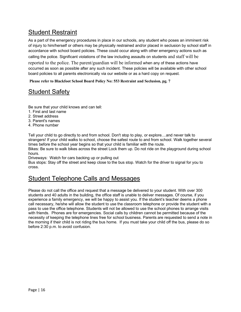# Student Restraint

As a part of the emergency procedures in place in our schools, any student who poses an imminent risk of injury to him/herself or others may be physically restrained and/or placed in seclusion by school staff in accordance with school board policies. These could occur along with other emergency actions such as calling the police. Significant violations of the law including assaults on students and staff will be

reported to the police. The parent/guardian will be informed when any of these actions have occurred as soon as possible after any such incident. These policies will be available with other school board policies to all parents electronically via our website or as a hard copy on request.

**Please refer to Blackfoot School Board Policy No: 553 Restraint and Seclusion, pg. 7**

# Student Safety

Be sure that your child knows and can tell:

- 1. First and last name
- 2. Street address
- 3. Parent's names
- 4. Phone number

Tell your child to go directly to and from school. Don't stop to play, or explore....and never talk to strangers! If your child walks to school, choose the safest route to and from school. Walk together several times before the school year begins so that your child is familiar with the route.

Bikes: Be sure to walk bikes across the street Lock them up. Do not ride on the playground during school hours.

Driveways: Watch for cars backing up or pulling out

Bus stops: Stay off the street and keep close to the bus stop. Watch for the driver to signal for you to cross.

# Student Telephone Calls and Messages

Please do not call the office and request that a message be delivered to your student. With over 300 students and 40 adults in the building, the office staff is unable to deliver messages. Of course, if you experience a family emergency, we will be happy to assist you. If the student's teacher deems a phone call necessary, he/she will allow the student to use the classroom telephone or provide the student with a pass to use the office telephone. Students will not be allowed to use the school phones to arrange visits with friends. Phones are for emergencies. Social calls by children cannot be permitted because of the necessity of keeping the telephone lines free for school business. Parents are requested to send a note in the morning if their child is not riding the bus home. If you must take your child off the bus, please do so before 2:30 p.m. to avoid confusion.